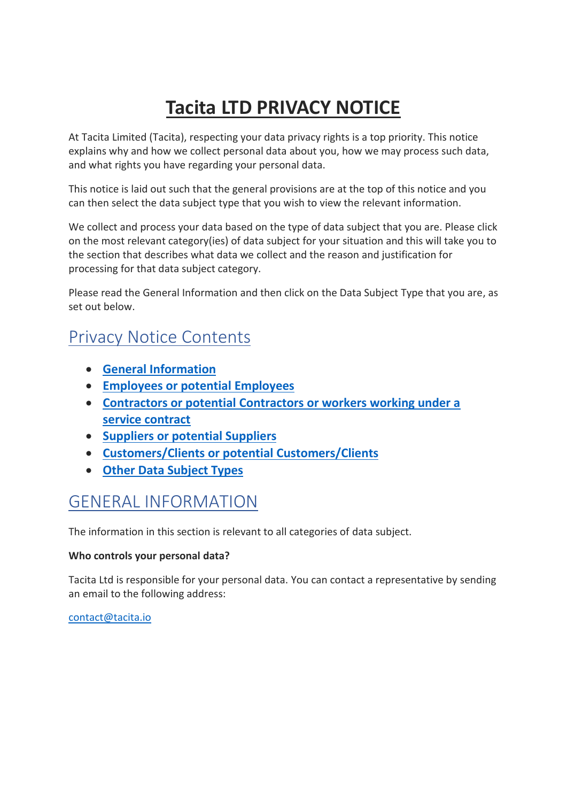# **Tacita LTD PRIVACY NOTICE**

At Tacita Limited (Tacita), respecting your data privacy rights is a top priority. This notice explains why and how we collect personal data about you, how we may process such data, and what rights you have regarding your personal data.

This notice is laid out such that the general provisions are at the top of this notice and you can then select the data subject type that you wish to view the relevant information.

We collect and process your data based on the type of data subject that you are. Please click on the most relevant category(ies) of data subject for your situation and this will take you to the section that describes what data we collect and the reason and justification for processing for that data subject category.

Please read the General Information and then click on the Data Subject Type that you are, as set out below.

## Privacy Notice Contents

- **[General Information](#page-0-0)**
- **[Employees or potential Employees](#page-3-0)**
- **[Contractors or potential Contractors](#page-7-0) or workers working under a [service contract](#page-7-0)**
- **[Suppliers or potential Suppliers](#page-11-0)**
- **[Customers/Clients or potential Customers/Clients](#page-13-0)**
- **[Other Data Subject Types](#page-15-0)**

## <span id="page-0-0"></span>GENERAL INFORMATION

The information in this section is relevant to all categories of data subject.

#### **Who controls your personal data?**

Tacita Ltd is responsible for your personal data. You can contact a representative by sending an email to the following address:

[contact@tacita.io](mailto:contact@tacita.io)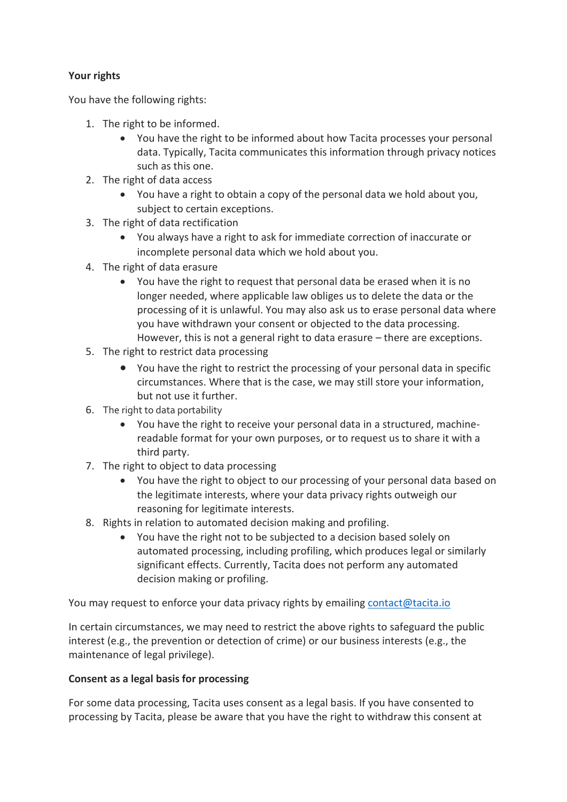### **Your rights**

You have the following rights:

- 1. The right to be informed.
	- You have the right to be informed about how Tacita processes your personal data. Typically, Tacita communicates this information through privacy notices such as this one.
- 2. The right of data access
	- You have a right to obtain a copy of the personal data we hold about you, subject to certain exceptions.
- 3. The right of data rectification
	- You always have a right to ask for immediate correction of inaccurate or incomplete personal data which we hold about you.
- 4. The right of data erasure
	- You have the right to request that personal data be erased when it is no longer needed, where applicable law obliges us to delete the data or the processing of it is unlawful. You may also ask us to erase personal data where you have withdrawn your consent or objected to the data processing. However, this is not a general right to data erasure – there are exceptions.
- 5. The right to restrict data processing
	- You have the right to restrict the processing of your personal data in specific circumstances. Where that is the case, we may still store your information, but not use it further.
- 6. The right to data portability
	- You have the right to receive your personal data in a structured, machinereadable format for your own purposes, or to request us to share it with a third party.
- 7. The right to object to data processing
	- You have the right to object to our processing of your personal data based on the legitimate interests, where your data privacy rights outweigh our reasoning for legitimate interests.
- 8. Rights in relation to automated decision making and profiling.
	- You have the right not to be subjected to a decision based solely on automated processing, including profiling, which produces legal or similarly significant effects. Currently, Tacita does not perform any automated decision making or profiling.

You may request to enforce your data privacy rights by emailing [contact@tacita.io](mailto:contact@tacita.io)

In certain circumstances, we may need to restrict the above rights to safeguard the public interest (e.g., the prevention or detection of crime) or our business interests (e.g., the maintenance of legal privilege).

#### **Consent as a legal basis for processing**

For some data processing, Tacita uses consent as a legal basis. If you have consented to processing by Tacita, please be aware that you have the right to withdraw this consent at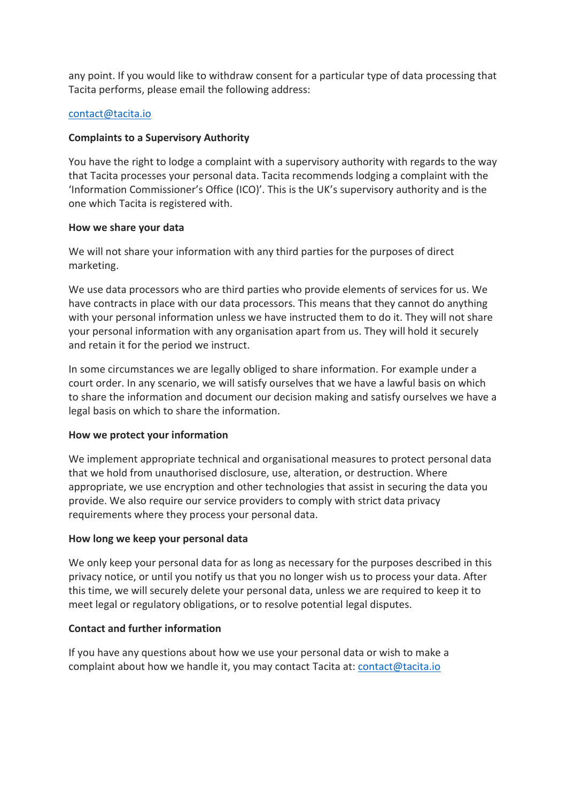any point. If you would like to withdraw consent for a particular type of data processing that Tacita performs, please email the following address:

#### [contact@tacita.io](mailto:contact@tacita.io)

#### **Complaints to a Supervisory Authority**

You have the right to lodge a complaint with a supervisory authority with regards to the way that Tacita processes your personal data. Tacita recommends lodging a complaint with the 'Information Commissioner's Office (ICO)'. This is the UK's supervisory authority and is the one which Tacita is registered with.

#### **How we share your data**

We will not share your information with any third parties for the purposes of direct marketing.

We use data processors who are third parties who provide elements of services for us. We have contracts in place with our data processors. This means that they cannot do anything with your personal information unless we have instructed them to do it. They will not share your personal information with any organisation apart from us. They will hold it securely and retain it for the period we instruct.

In some circumstances we are legally obliged to share information. For example under a court order. In any scenario, we will satisfy ourselves that we have a lawful basis on which to share the information and document our decision making and satisfy ourselves we have a legal basis on which to share the information.

#### **How we protect your information**

We implement appropriate technical and organisational measures to protect personal data that we hold from unauthorised disclosure, use, alteration, or destruction. Where appropriate, we use encryption and other technologies that assist in securing the data you provide. We also require our service providers to comply with strict data privacy requirements where they process your personal data.

#### **How long we keep your personal data**

We only keep your personal data for as long as necessary for the purposes described in this privacy notice, or until you notify us that you no longer wish us to process your data. After this time, we will securely delete your personal data, unless we are required to keep it to meet legal or regulatory obligations, or to resolve potential legal disputes.

#### **Contact and further information**

If you have any questions about how we use your personal data or wish to make a complaint about how we handle it, you may contact Tacita at: [contact@tacita.io](mailto:contact@tacita.io)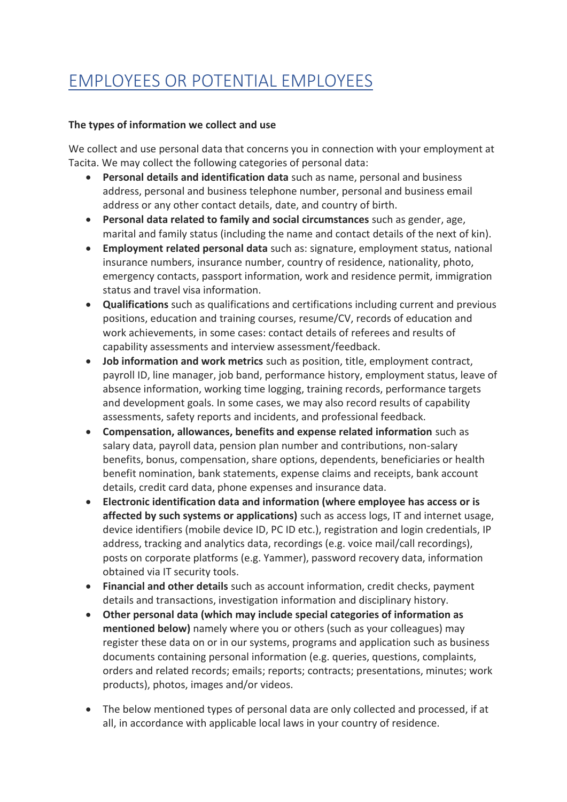# <span id="page-3-0"></span>EMPLOYEES OR POTENTIAL EMPLOYEES

#### **The types of information we collect and use**

We collect and use personal data that concerns you in connection with your employment at Tacita. We may collect the following categories of personal data:

- **Personal details and identification data** such as name, personal and business address, personal and business telephone number, personal and business email address or any other contact details, date, and country of birth.
- **Personal data related to family and social circumstances** such as gender, age, marital and family status (including the name and contact details of the next of kin).
- **Employment related personal data** such as: signature, employment status, national insurance numbers, insurance number, country of residence, nationality, photo, emergency contacts, passport information, work and residence permit, immigration status and travel visa information.
- **Qualifications** such as qualifications and certifications including current and previous positions, education and training courses, resume/CV, records of education and work achievements, in some cases: contact details of referees and results of capability assessments and interview assessment/feedback.
- **Job information and work metrics** such as position, title, employment contract, payroll ID, line manager, job band, performance history, employment status, leave of absence information, working time logging, training records, performance targets and development goals. In some cases, we may also record results of capability assessments, safety reports and incidents, and professional feedback.
- **Compensation, allowances, benefits and expense related information** such as salary data, payroll data, pension plan number and contributions, non-salary benefits, bonus, compensation, share options, dependents, beneficiaries or health benefit nomination, bank statements, expense claims and receipts, bank account details, credit card data, phone expenses and insurance data.
- **Electronic identification data and information (where employee has access or is affected by such systems or applications)** such as access logs, IT and internet usage, device identifiers (mobile device ID, PC ID etc.), registration and login credentials, IP address, tracking and analytics data, recordings (e.g. voice mail/call recordings), posts on corporate platforms (e.g. Yammer), password recovery data, information obtained via IT security tools.
- **Financial and other details** such as account information, credit checks, payment details and transactions, investigation information and disciplinary history.
- **Other personal data (which may include special categories of information as mentioned below)** namely where you or others (such as your colleagues) may register these data on or in our systems, programs and application such as business documents containing personal information (e.g. queries, questions, complaints, orders and related records; emails; reports; contracts; presentations, minutes; work products), photos, images and/or videos.
- The below mentioned types of personal data are only collected and processed, if at all, in accordance with applicable local laws in your country of residence.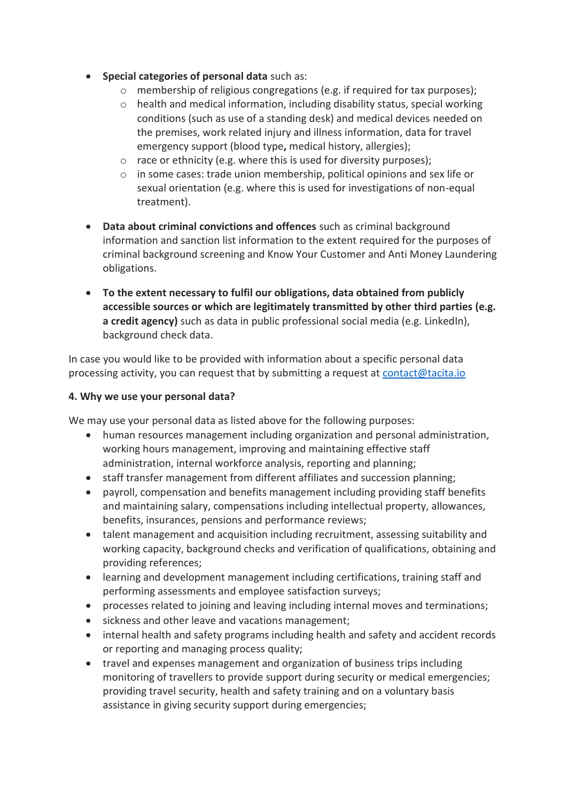- **Special categories of personal data** such as:
	- o membership of religious congregations (e.g. if required for tax purposes);
	- $\circ$  health and medical information, including disability status, special working conditions (such as use of a standing desk) and medical devices needed on the premises, work related injury and illness information, data for travel emergency support (blood type**,** medical history, allergies);
	- o race or ethnicity (e.g. where this is used for diversity purposes);
	- o in some cases: trade union membership, political opinions and sex life or sexual orientation (e.g. where this is used for investigations of non-equal treatment).
- **Data about criminal convictions and offences** such as criminal background information and sanction list information to the extent required for the purposes of criminal background screening and Know Your Customer and Anti Money Laundering obligations.
- **To the extent necessary to fulfil our obligations, data obtained from publicly accessible sources or which are legitimately transmitted by other third parties (e.g. a credit agency)** such as data in public professional social media (e.g. LinkedIn), background check data.

In case you would like to be provided with information about a specific personal data processing activity, you can request that by submitting a request at [contact@tacita.io](mailto:contact@tacita.io)

#### **4. Why we use your personal data?**

We may use your personal data as listed above for the following purposes:

- human resources management including organization and personal administration, working hours management, improving and maintaining effective staff administration, internal workforce analysis, reporting and planning;
- staff transfer management from different affiliates and succession planning;
- payroll, compensation and benefits management including providing staff benefits and maintaining salary, compensations including intellectual property, allowances, benefits, insurances, pensions and performance reviews;
- talent management and acquisition including recruitment, assessing suitability and working capacity, background checks and verification of qualifications, obtaining and providing references;
- learning and development management including certifications, training staff and performing assessments and employee satisfaction surveys;
- processes related to joining and leaving including internal moves and terminations;
- sickness and other leave and vacations management;
- internal health and safety programs including health and safety and accident records or reporting and managing process quality;
- travel and expenses management and organization of business trips including monitoring of travellers to provide support during security or medical emergencies; providing travel security, health and safety training and on a voluntary basis assistance in giving security support during emergencies;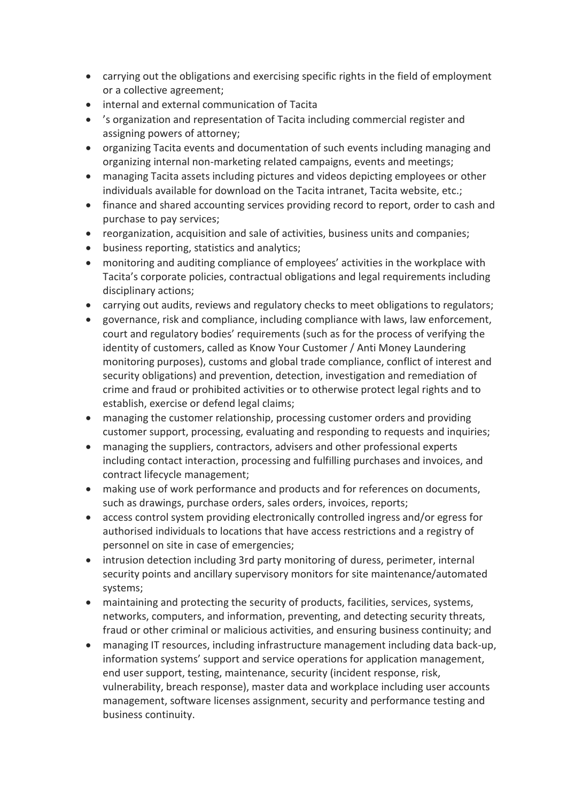- carrying out the obligations and exercising specific rights in the field of employment or a collective agreement;
- internal and external communication of Tacita
- 's organization and representation of Tacita including commercial register and assigning powers of attorney;
- organizing Tacita events and documentation of such events including managing and organizing internal non-marketing related campaigns, events and meetings;
- managing Tacita assets including pictures and videos depicting employees or other individuals available for download on the Tacita intranet, Tacita website, etc.;
- finance and shared accounting services providing record to report, order to cash and purchase to pay services;
- reorganization, acquisition and sale of activities, business units and companies;
- business reporting, statistics and analytics;
- monitoring and auditing compliance of employees' activities in the workplace with Tacita's corporate policies, contractual obligations and legal requirements including disciplinary actions;
- carrying out audits, reviews and regulatory checks to meet obligations to regulators;
- governance, risk and compliance, including compliance with laws, law enforcement, court and regulatory bodies' requirements (such as for the process of verifying the identity of customers, called as Know Your Customer / Anti Money Laundering monitoring purposes), customs and global trade compliance, conflict of interest and security obligations) and prevention, detection, investigation and remediation of crime and fraud or prohibited activities or to otherwise protect legal rights and to establish, exercise or defend legal claims;
- managing the customer relationship, processing customer orders and providing customer support, processing, evaluating and responding to requests and inquiries;
- managing the suppliers, contractors, advisers and other professional experts including contact interaction, processing and fulfilling purchases and invoices, and contract lifecycle management;
- making use of work performance and products and for references on documents, such as drawings, purchase orders, sales orders, invoices, reports;
- access control system providing electronically controlled ingress and/or egress for authorised individuals to locations that have access restrictions and a registry of personnel on site in case of emergencies;
- intrusion detection including 3rd party monitoring of duress, perimeter, internal security points and ancillary supervisory monitors for site maintenance/automated systems;
- maintaining and protecting the security of products, facilities, services, systems, networks, computers, and information, preventing, and detecting security threats, fraud or other criminal or malicious activities, and ensuring business continuity; and
- managing IT resources, including infrastructure management including data back-up, information systems' support and service operations for application management, end user support, testing, maintenance, security (incident response, risk, vulnerability, breach response), master data and workplace including user accounts management, software licenses assignment, security and performance testing and business continuity.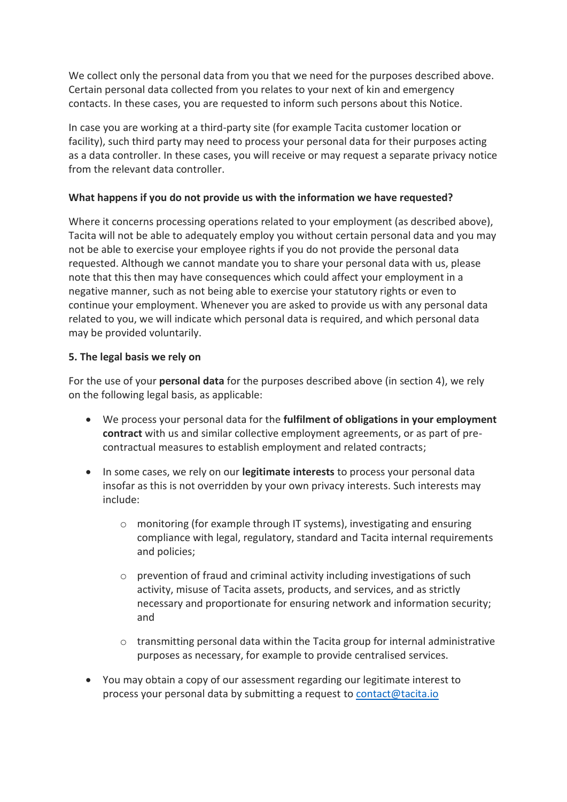We collect only the personal data from you that we need for the purposes described above. Certain personal data collected from you relates to your next of kin and emergency contacts. In these cases, you are requested to inform such persons about this Notice.

In case you are working at a third-party site (for example Tacita customer location or facility), such third party may need to process your personal data for their purposes acting as a data controller. In these cases, you will receive or may request a separate privacy notice from the relevant data controller.

### **What happens if you do not provide us with the information we have requested?**

Where it concerns processing operations related to your employment (as described above), Tacita will not be able to adequately employ you without certain personal data and you may not be able to exercise your employee rights if you do not provide the personal data requested. Although we cannot mandate you to share your personal data with us, please note that this then may have consequences which could affect your employment in a negative manner, such as not being able to exercise your statutory rights or even to continue your employment. Whenever you are asked to provide us with any personal data related to you, we will indicate which personal data is required, and which personal data may be provided voluntarily.

#### **5. The legal basis we rely on**

For the use of your **personal data** for the purposes described above (in section 4), we rely on the following legal basis, as applicable:

- We process your personal data for the **fulfilment of obligations in your employment contract** with us and similar collective employment agreements, or as part of precontractual measures to establish employment and related contracts;
- In some cases, we rely on our **legitimate interests** to process your personal data insofar as this is not overridden by your own privacy interests. Such interests may include:
	- o monitoring (for example through IT systems), investigating and ensuring compliance with legal, regulatory, standard and Tacita internal requirements and policies;
	- o prevention of fraud and criminal activity including investigations of such activity, misuse of Tacita assets, products, and services, and as strictly necessary and proportionate for ensuring network and information security; and
	- o transmitting personal data within the Tacita group for internal administrative purposes as necessary, for example to provide centralised services.
- You may obtain a copy of our assessment regarding our legitimate interest to process your personal data by submitting a request t[o contact@tacita.io](mailto:contact@tacita.io)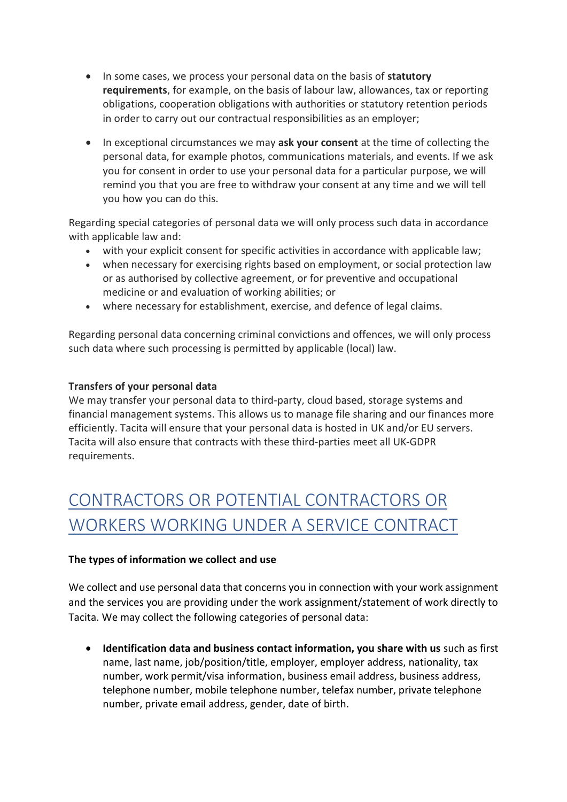- In some cases, we process your personal data on the basis of **statutory requirements**, for example, on the basis of labour law, allowances, tax or reporting obligations, cooperation obligations with authorities or statutory retention periods in order to carry out our contractual responsibilities as an employer;
- In exceptional circumstances we may **ask your consent** at the time of collecting the personal data, for example photos, communications materials, and events. If we ask you for consent in order to use your personal data for a particular purpose, we will remind you that you are free to withdraw your consent at any time and we will tell you how you can do this.

Regarding special categories of personal data we will only process such data in accordance with applicable law and:

- with your explicit consent for specific activities in accordance with applicable law;
- when necessary for exercising rights based on employment, or social protection law or as authorised by collective agreement, or for preventive and occupational medicine or and evaluation of working abilities; or
- where necessary for establishment, exercise, and defence of legal claims.

Regarding personal data concerning criminal convictions and offences, we will only process such data where such processing is permitted by applicable (local) law.

#### **Transfers of your personal data**

We may transfer your personal data to third-party, cloud based, storage systems and financial management systems. This allows us to manage file sharing and our finances more efficiently. Tacita will ensure that your personal data is hosted in UK and/or EU servers. Tacita will also ensure that contracts with these third-parties meet all UK-GDPR requirements.

# <span id="page-7-0"></span>CONTRACTORS OR POTENTIAL CONTRACTORS OR WORKERS WORKING UNDER A SERVICE CONTRACT

#### **The types of information we collect and use**

We collect and use personal data that concerns you in connection with your work assignment and the services you are providing under the work assignment/statement of work directly to Tacita. We may collect the following categories of personal data:

• **Identification data and business contact information, you share with us** such as first name, last name, job/position/title, employer, employer address, nationality, tax number, work permit/visa information, business email address, business address, telephone number, mobile telephone number, telefax number, private telephone number, private email address, gender, date of birth.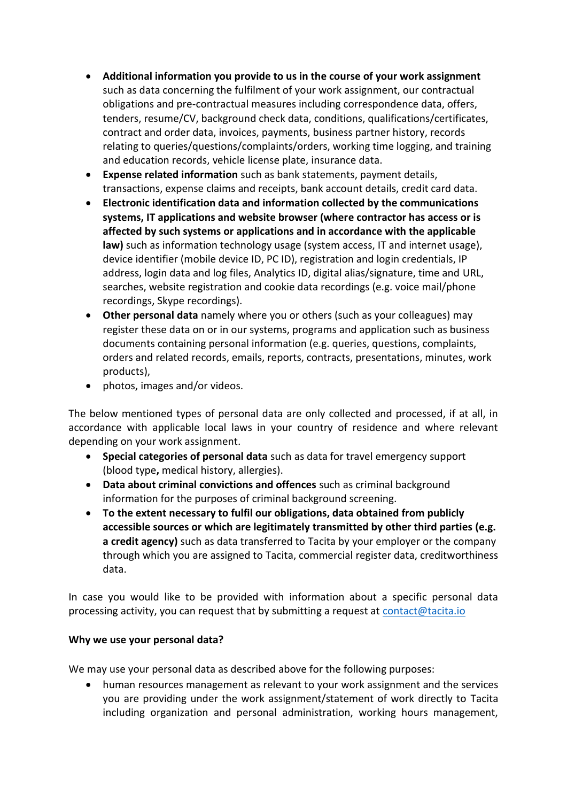- **Additional information you provide to us in the course of your work assignment**  such as data concerning the fulfilment of your work assignment, our contractual obligations and pre-contractual measures including correspondence data, offers, tenders, resume/CV, background check data, conditions, qualifications/certificates, contract and order data, invoices, payments, business partner history, records relating to queries/questions/complaints/orders, working time logging, and training and education records, vehicle license plate, insurance data.
- **Expense related information** such as bank statements, payment details, transactions, expense claims and receipts, bank account details, credit card data.
- **Electronic identification data and information collected by the communications systems, IT applications and website browser (where contractor has access or is affected by such systems or applications and in accordance with the applicable law)** such as information technology usage (system access, IT and internet usage), device identifier (mobile device ID, PC ID), registration and login credentials, IP address, login data and log files, Analytics ID, digital alias/signature, time and URL, searches, website registration and cookie data recordings (e.g. voice mail/phone recordings, Skype recordings).
- **Other personal data** namely where you or others (such as your colleagues) may register these data on or in our systems, programs and application such as business documents containing personal information (e.g. queries, questions, complaints, orders and related records, emails, reports, contracts, presentations, minutes, work products),
- photos, images and/or videos.

The below mentioned types of personal data are only collected and processed, if at all, in accordance with applicable local laws in your country of residence and where relevant depending on your work assignment.

- **Special categories of personal data** such as data for travel emergency support (blood type**,** medical history, allergies).
- **Data about criminal convictions and offences** such as criminal background information for the purposes of criminal background screening.
- **To the extent necessary to fulfil our obligations, data obtained from publicly accessible sources or which are legitimately transmitted by other third parties (e.g. a credit agency)** such as data transferred to Tacita by your employer or the company through which you are assigned to Tacita, commercial register data, creditworthiness data.

In case you would like to be provided with information about a specific personal data processing activity, you can request that by submitting a request at [contact@tacita.io](mailto:contact@tacita.io)

#### **Why we use your personal data?**

We may use your personal data as described above for the following purposes:

• human resources management as relevant to your work assignment and the services you are providing under the work assignment/statement of work directly to Tacita including organization and personal administration, working hours management,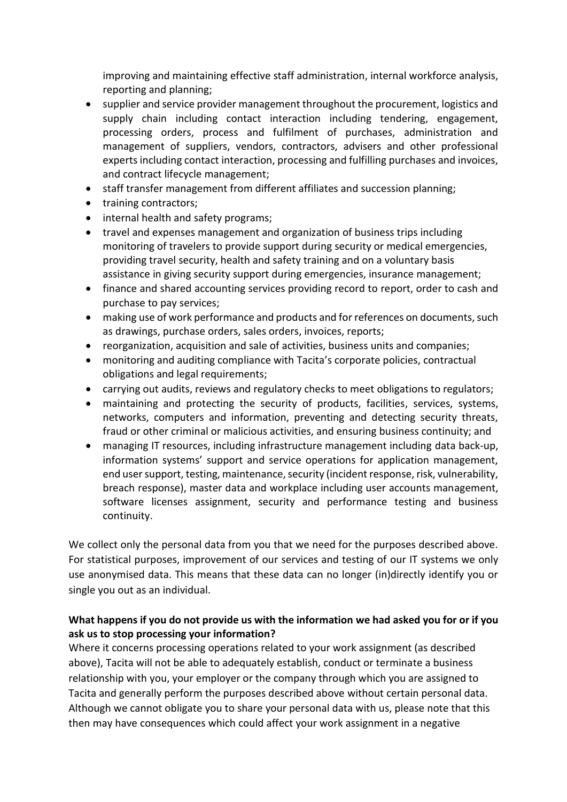improving and maintaining effective staff administration, internal workforce analysis, reporting and planning;

- supplier and service provider management throughout the procurement, logistics and supply chain including contact interaction including tendering, engagement, processing orders, process and fulfilment of purchases, administration and management of suppliers, vendors, contractors, advisers and other professional experts including contact interaction, processing and fulfilling purchases and invoices, and contract lifecycle management;
- staff transfer management from different affiliates and succession planning;
- training contractors;
- internal health and safety programs;
- travel and expenses management and organization of business trips including monitoring of travelers to provide support during security or medical emergencies, providing travel security, health and safety training and on a voluntary basis assistance in giving security support during emergencies, insurance management;
- finance and shared accounting services providing record to report, order to cash and purchase to pay services;
- making use of work performance and products and for references on documents, such as drawings, purchase orders, sales orders, invoices, reports;
- reorganization, acquisition and sale of activities, business units and companies;
- monitoring and auditing compliance with Tacita's corporate policies, contractual obligations and legal requirements;
- carrying out audits, reviews and regulatory checks to meet obligations to regulators;
- maintaining and protecting the security of products, facilities, services, systems, networks, computers and information, preventing and detecting security threats, fraud or other criminal or malicious activities, and ensuring business continuity; and
- managing IT resources, including infrastructure management including data back-up, information systems' support and service operations for application management, end user support, testing, maintenance, security (incident response, risk, vulnerability, breach response), master data and workplace including user accounts management, software licenses assignment, security and performance testing and business continuity.

We collect only the personal data from you that we need for the purposes described above. For statistical purposes, improvement of our services and testing of our IT systems we only use anonymised data. This means that these data can no longer (in)directly identify you or single you out as an individual.

### **What happens if you do not provide us with the information we had asked you for or if you ask us to stop processing your information?**

Where it concerns processing operations related to your work assignment (as described above), Tacita will not be able to adequately establish, conduct or terminate a business relationship with you, your employer or the company through which you are assigned to Tacita and generally perform the purposes described above without certain personal data. Although we cannot obligate you to share your personal data with us, please note that this then may have consequences which could affect your work assignment in a negative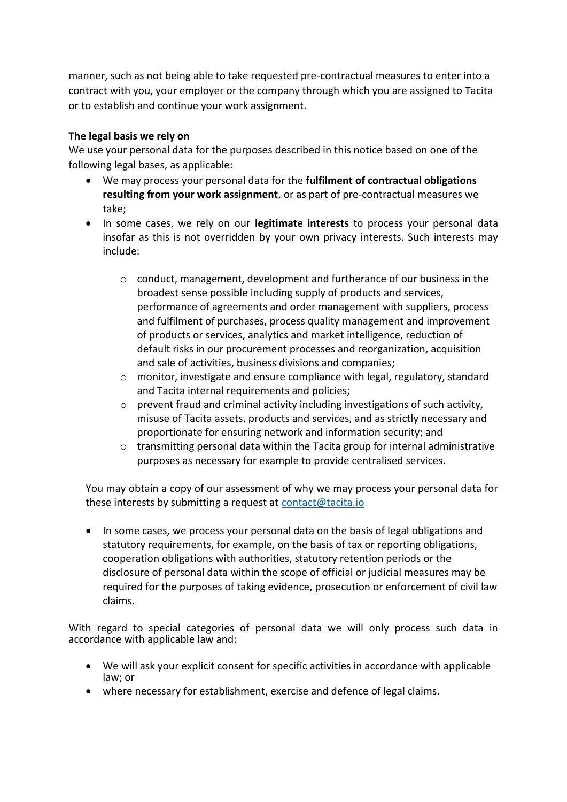manner, such as not being able to take requested pre-contractual measures to enter into a contract with you, your employer or the company through which you are assigned to Tacita or to establish and continue your work assignment.

#### **The legal basis we rely on**

We use your personal data for the purposes described in this notice based on one of the following legal bases, as applicable:

- We may process your personal data for the **fulfilment of contractual obligations resulting from your work assignment**, or as part of pre-contractual measures we take;
- In some cases, we rely on our **legitimate interests** to process your personal data insofar as this is not overridden by your own privacy interests. Such interests may include:
	- $\circ$  conduct, management, development and furtherance of our business in the broadest sense possible including supply of products and services, performance of agreements and order management with suppliers, process and fulfilment of purchases, process quality management and improvement of products or services, analytics and market intelligence, reduction of default risks in our procurement processes and reorganization, acquisition and sale of activities, business divisions and companies;
	- o monitor, investigate and ensure compliance with legal, regulatory, standard and Tacita internal requirements and policies;
	- o prevent fraud and criminal activity including investigations of such activity, misuse of Tacita assets, products and services, and as strictly necessary and proportionate for ensuring network and information security; and
	- $\circ$  transmitting personal data within the Tacita group for internal administrative purposes as necessary for example to provide centralised services.

You may obtain a copy of our assessment of why we may process your personal data for these interests by submitting a request at [contact@tacita.io](mailto:contact@tacita.io)

• In some cases, we process your personal data on the basis of legal obligations and statutory requirements, for example, on the basis of tax or reporting obligations, cooperation obligations with authorities, statutory retention periods or the disclosure of personal data within the scope of official or judicial measures may be required for the purposes of taking evidence, prosecution or enforcement of civil law claims.

With regard to special categories of personal data we will only process such data in accordance with applicable law and:

- We will ask your explicit consent for specific activities in accordance with applicable law; or
- where necessary for establishment, exercise and defence of legal claims.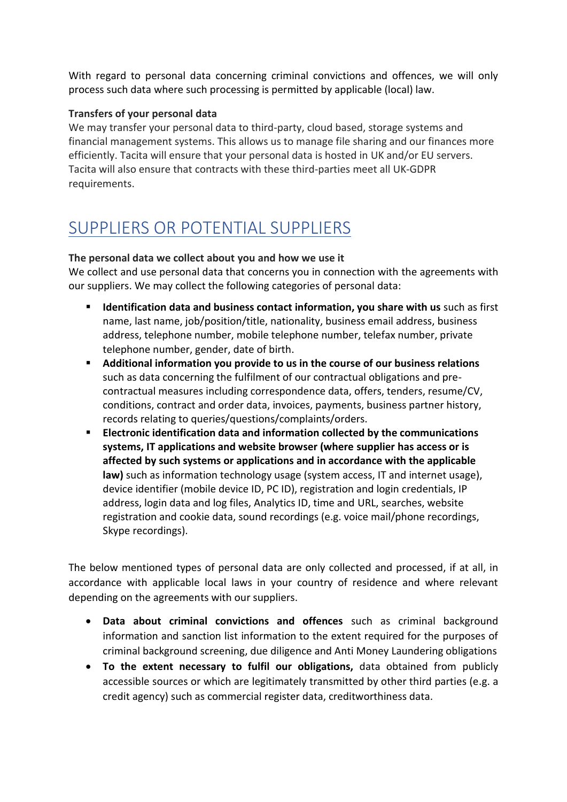With regard to personal data concerning criminal convictions and offences, we will only process such data where such processing is permitted by applicable (local) law.

### **Transfers of your personal data**

We may transfer your personal data to third-party, cloud based, storage systems and financial management systems. This allows us to manage file sharing and our finances more efficiently. Tacita will ensure that your personal data is hosted in UK and/or EU servers. Tacita will also ensure that contracts with these third-parties meet all UK-GDPR requirements.

## <span id="page-11-0"></span>SUPPLIERS OR POTENTIAL SUPPLIERS

#### **The personal data we collect about you and how we use it**

We collect and use personal data that concerns you in connection with the agreements with our suppliers. We may collect the following categories of personal data:

- **Identification data and business contact information, you share with us** such as first name, last name, job/position/title, nationality, business email address, business address, telephone number, mobile telephone number, telefax number, private telephone number, gender, date of birth.
- **Additional information you provide to us in the course of our business relations**  such as data concerning the fulfilment of our contractual obligations and precontractual measures including correspondence data, offers, tenders, resume/CV, conditions, contract and order data, invoices, payments, business partner history, records relating to queries/questions/complaints/orders.
- **Electronic identification data and information collected by the communications systems, IT applications and website browser (where supplier has access or is affected by such systems or applications and in accordance with the applicable law)** such as information technology usage (system access, IT and internet usage), device identifier (mobile device ID, PC ID), registration and login credentials, IP address, login data and log files, Analytics ID, time and URL, searches, website registration and cookie data, sound recordings (e.g. voice mail/phone recordings, Skype recordings).

The below mentioned types of personal data are only collected and processed, if at all, in accordance with applicable local laws in your country of residence and where relevant depending on the agreements with our suppliers.

- **Data about criminal convictions and offences** such as criminal background information and sanction list information to the extent required for the purposes of criminal background screening, due diligence and Anti Money Laundering obligations
- **To the extent necessary to fulfil our obligations,** data obtained from publicly accessible sources or which are legitimately transmitted by other third parties (e.g. a credit agency) such as commercial register data, creditworthiness data.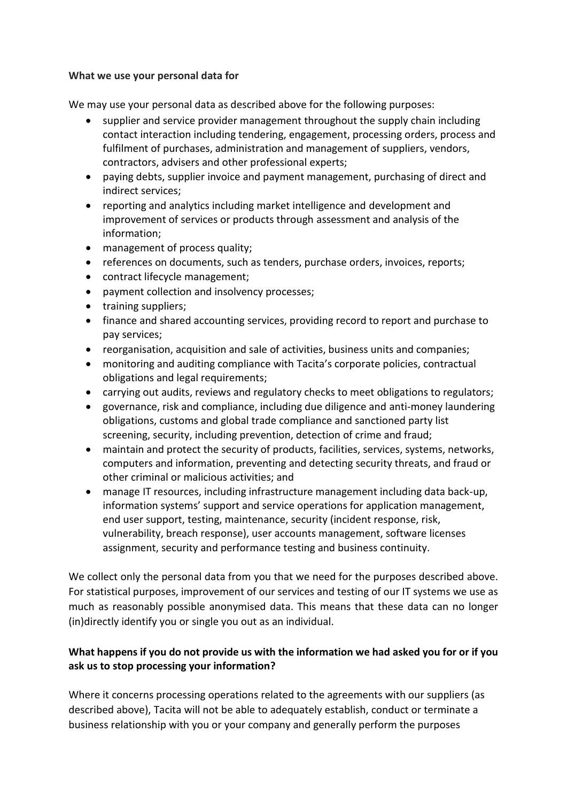#### **What we use your personal data for**

We may use your personal data as described above for the following purposes:

- supplier and service provider management throughout the supply chain including contact interaction including tendering, engagement, processing orders, process and fulfilment of purchases, administration and management of suppliers, vendors, contractors, advisers and other professional experts;
- paying debts, supplier invoice and payment management, purchasing of direct and indirect services;
- reporting and analytics including market intelligence and development and improvement of services or products through assessment and analysis of the information;
- management of process quality;
- references on documents, such as tenders, purchase orders, invoices, reports;
- contract lifecycle management;
- payment collection and insolvency processes;
- training suppliers;
- finance and shared accounting services, providing record to report and purchase to pay services;
- reorganisation, acquisition and sale of activities, business units and companies;
- monitoring and auditing compliance with Tacita's corporate policies, contractual obligations and legal requirements;
- carrying out audits, reviews and regulatory checks to meet obligations to regulators;
- governance, risk and compliance, including due diligence and anti-money laundering obligations, customs and global trade compliance and sanctioned party list screening, security, including prevention, detection of crime and fraud;
- maintain and protect the security of products, facilities, services, systems, networks, computers and information, preventing and detecting security threats, and fraud or other criminal or malicious activities; and
- manage IT resources, including infrastructure management including data back-up, information systems' support and service operations for application management, end user support, testing, maintenance, security (incident response, risk, vulnerability, breach response), user accounts management, software licenses assignment, security and performance testing and business continuity.

We collect only the personal data from you that we need for the purposes described above. For statistical purposes, improvement of our services and testing of our IT systems we use as much as reasonably possible anonymised data. This means that these data can no longer (in)directly identify you or single you out as an individual.

## **What happens if you do not provide us with the information we had asked you for or if you ask us to stop processing your information?**

Where it concerns processing operations related to the agreements with our suppliers (as described above), Tacita will not be able to adequately establish, conduct or terminate a business relationship with you or your company and generally perform the purposes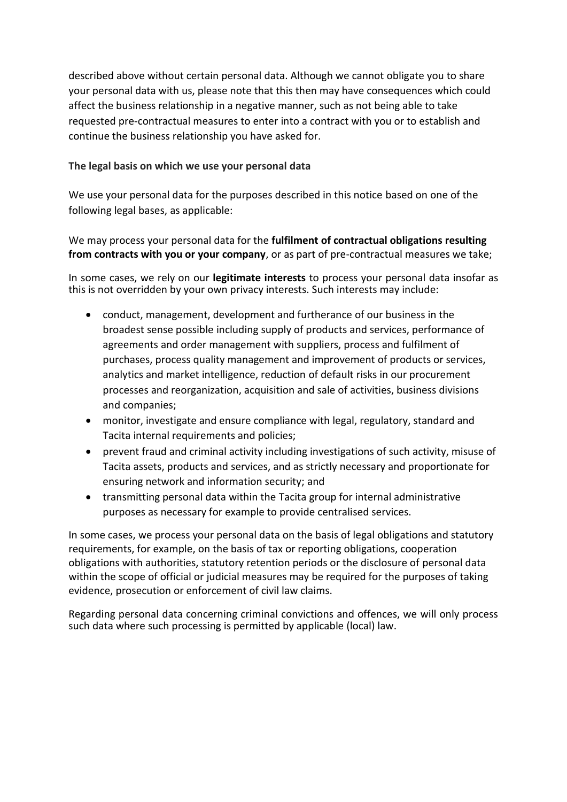described above without certain personal data. Although we cannot obligate you to share your personal data with us, please note that this then may have consequences which could affect the business relationship in a negative manner, such as not being able to take requested pre-contractual measures to enter into a contract with you or to establish and continue the business relationship you have asked for.

### **The legal basis on which we use your personal data**

We use your personal data for the purposes described in this notice based on one of the following legal bases, as applicable:

We may process your personal data for the **fulfilment of contractual obligations resulting from contracts with you or your company**, or as part of pre-contractual measures we take;

In some cases, we rely on our **legitimate interests** to process your personal data insofar as this is not overridden by your own privacy interests. Such interests may include:

- conduct, management, development and furtherance of our business in the broadest sense possible including supply of products and services, performance of agreements and order management with suppliers, process and fulfilment of purchases, process quality management and improvement of products or services, analytics and market intelligence, reduction of default risks in our procurement processes and reorganization, acquisition and sale of activities, business divisions and companies;
- monitor, investigate and ensure compliance with legal, regulatory, standard and Tacita internal requirements and policies;
- prevent fraud and criminal activity including investigations of such activity, misuse of Tacita assets, products and services, and as strictly necessary and proportionate for ensuring network and information security; and
- transmitting personal data within the Tacita group for internal administrative purposes as necessary for example to provide centralised services.

In some cases, we process your personal data on the basis of legal obligations and statutory requirements, for example, on the basis of tax or reporting obligations, cooperation obligations with authorities, statutory retention periods or the disclosure of personal data within the scope of official or judicial measures may be required for the purposes of taking evidence, prosecution or enforcement of civil law claims.

<span id="page-13-0"></span>Regarding personal data concerning criminal convictions and offences, we will only process such data where such processing is permitted by applicable (local) law.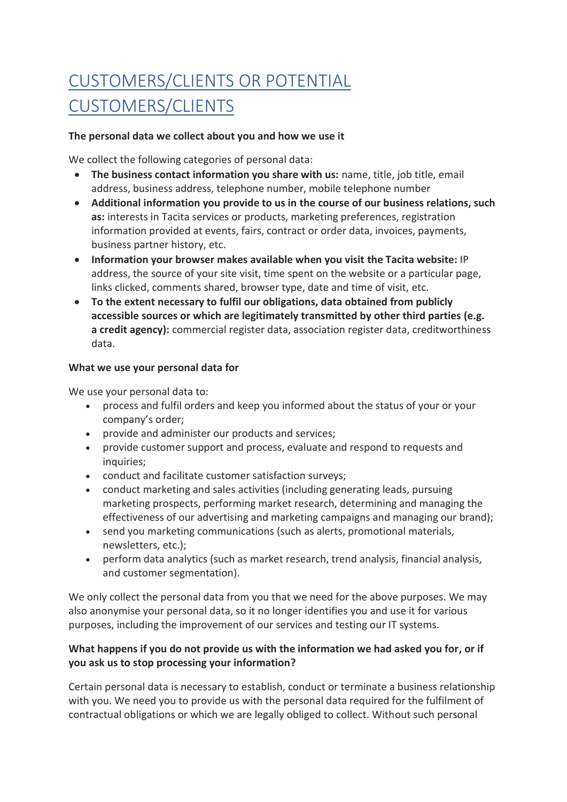# CUSTOMERS/CLIENTS OR POTENTIAL CUSTOMERS/CLIENTS

#### **The personal data we collect about you and how we use it**

We collect the following categories of personal data:

- **The business contact information you share with us:** name, title, job title, email address, business address, telephone number, mobile telephone number
- **Additional information you provide to us in the course of our business relations, such as:** interests in Tacita services or products, marketing preferences, registration information provided at events, fairs, contract or order data, invoices, payments, business partner history, etc.
- **Information your browser makes available when you visit the Tacita website:** IP address, the source of your site visit, time spent on the website or a particular page, links clicked, comments shared, browser type, date and time of visit, etc.
- **To the extent necessary to fulfil our obligations, data obtained from publicly accessible sources or which are legitimately transmitted by other third parties (e.g. a credit agency):** commercial register data, association register data, creditworthiness data.

#### **What we use your personal data for**

We use your personal data to:

- process and fulfil orders and keep you informed about the status of your or your company's order;
- provide and administer our products and services;
- provide customer support and process, evaluate and respond to requests and inquiries:
- conduct and facilitate customer satisfaction surveys;
- conduct marketing and sales activities (including generating leads, pursuing marketing prospects, performing market research, determining and managing the effectiveness of our advertising and marketing campaigns and managing our brand);
- send you marketing communications (such as alerts, promotional materials, newsletters, etc.);
- perform data analytics (such as market research, trend analysis, financial analysis, and customer segmentation).

We only collect the personal data from you that we need for the above purposes. We may also anonymise your personal data, so it no longer identifies you and use it for various purposes, including the improvement of our services and testing our IT systems.

#### **What happens if you do not provide us with the information we had asked you for, or if you ask us to stop processing your information?**

Certain personal data is necessary to establish, conduct or terminate a business relationship with you. We need you to provide us with the personal data required for the fulfilment of contractual obligations or which we are legally obliged to collect. Without such personal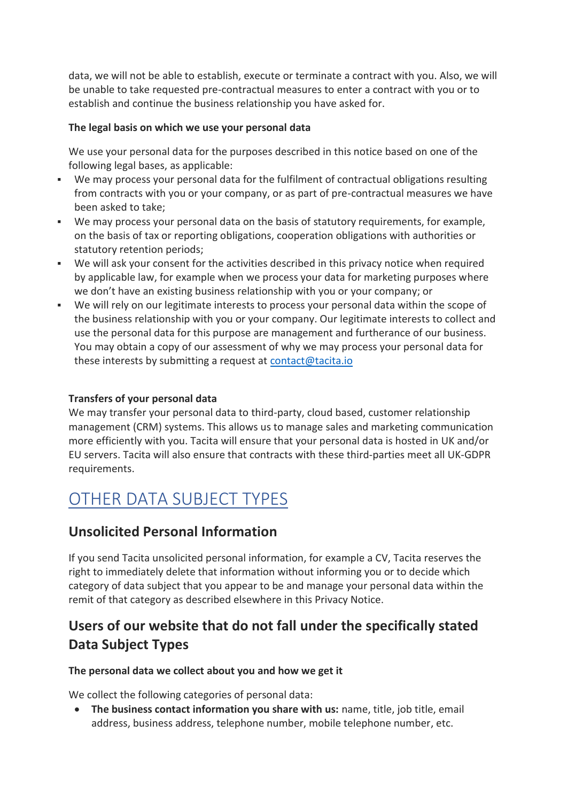data, we will not be able to establish, execute or terminate a contract with you. Also, we will be unable to take requested pre-contractual measures to enter a contract with you or to establish and continue the business relationship you have asked for.

### **The legal basis on which we use your personal data**

We use your personal data for the purposes described in this notice based on one of the following legal bases, as applicable:

- We may process your personal data for the fulfilment of contractual obligations resulting from contracts with you or your company, or as part of pre-contractual measures we have been asked to take;
- We may process your personal data on the basis of statutory requirements, for example, on the basis of tax or reporting obligations, cooperation obligations with authorities or statutory retention periods;
- We will ask your consent for the activities described in this privacy notice when required by applicable law, for example when we process your data for marketing purposes where we don't have an existing business relationship with you or your company; or
- We will rely on our legitimate interests to process your personal data within the scope of the business relationship with you or your company. Our legitimate interests to collect and use the personal data for this purpose are management and furtherance of our business. You may obtain a copy of our assessment of why we may process your personal data for these interests by submitting a request at [contact@tacita.io](mailto:contact@tacita.io)

### **Transfers of your personal data**

We may transfer your personal data to third-party, cloud based, customer relationship management (CRM) systems. This allows us to manage sales and marketing communication more efficiently with you. Tacita will ensure that your personal data is hosted in UK and/or EU servers. Tacita will also ensure that contracts with these third-parties meet all UK-GDPR requirements.

## <span id="page-15-0"></span>OTHER DATA SUBJECT TYPES

## **Unsolicited Personal Information**

If you send Tacita unsolicited personal information, for example a CV, Tacita reserves the right to immediately delete that information without informing you or to decide which category of data subject that you appear to be and manage your personal data within the remit of that category as described elsewhere in this Privacy Notice.

## **Users of our website that do not fall under the specifically stated Data Subject Types**

#### **The personal data we collect about you and how we get it**

We collect the following categories of personal data:

• **The business contact information you share with us:** name, title, job title, email address, business address, telephone number, mobile telephone number, etc.